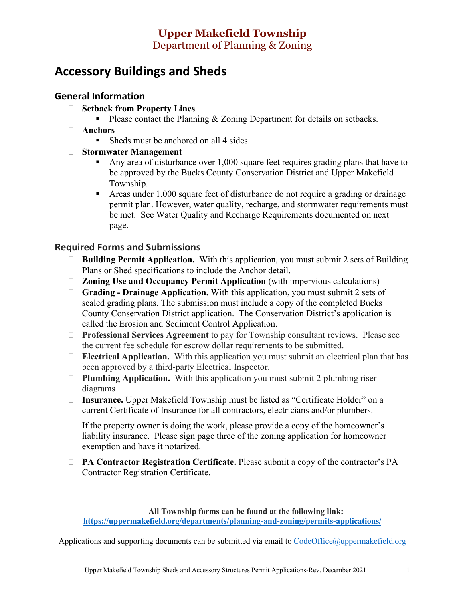# **Upper Makefield Township**  Department of Planning & Zoning

# **Accessory Buildings and Sheds**

### **General Information**

- **Setback from Property Lines**
	- Please contact the Planning  $& Z$  *Department* for details on setbacks.
- **Anchors**
	- Sheds must be anchored on all 4 sides.
- **Stormwater Management** 
	- Any area of disturbance over 1,000 square feet requires grading plans that have to be approved by the Bucks County Conservation District and Upper Makefield Township.
	- Areas under 1,000 square feet of disturbance do not require a grading or drainage permit plan. However, water quality, recharge, and stormwater requirements must be met. See Water Quality and Recharge Requirements documented on next page.

#### **Required Forms and Submissions**

- **Building Permit Application.** With this application, you must submit 2 sets of Building Plans or Shed specifications to include the Anchor detail.
- **Zoning Use and Occupancy Permit Application** (with impervious calculations)
- **Grading - Drainage Application.** With this application, you must submit 2 sets of sealed grading plans. The submission must include a copy of the completed Bucks County Conservation District application. The Conservation District's application is called the Erosion and Sediment Control Application.
- **Professional Services Agreement** to pay for Township consultant reviews. Please see the current fee schedule for escrow dollar requirements to be submitted.
- **Electrical Application.** With this application you must submit an electrical plan that has been approved by a third-party Electrical Inspector.
- **Plumbing Application.** With this application you must submit 2 plumbing riser diagrams
- **Insurance.** Upper Makefield Township must be listed as "Certificate Holder" on a current Certificate of Insurance for all contractors, electricians and/or plumbers.

If the property owner is doing the work, please provide a copy of the homeowner's liability insurance. Please sign page three of the zoning application for homeowner exemption and have it notarized.

 **PA Contractor Registration Certificate.** Please submit a copy of the contractor's PA Contractor Registration Certificate.

**All Township forms can be found at the following link: <https://uppermakefield.org/departments/planning-and-zoning/permits-applications/>**

Applications and supporting documents can be submitted via email to [CodeOffice@uppermakefield.org](mailto:CodeOffice@uppermakefield.org)